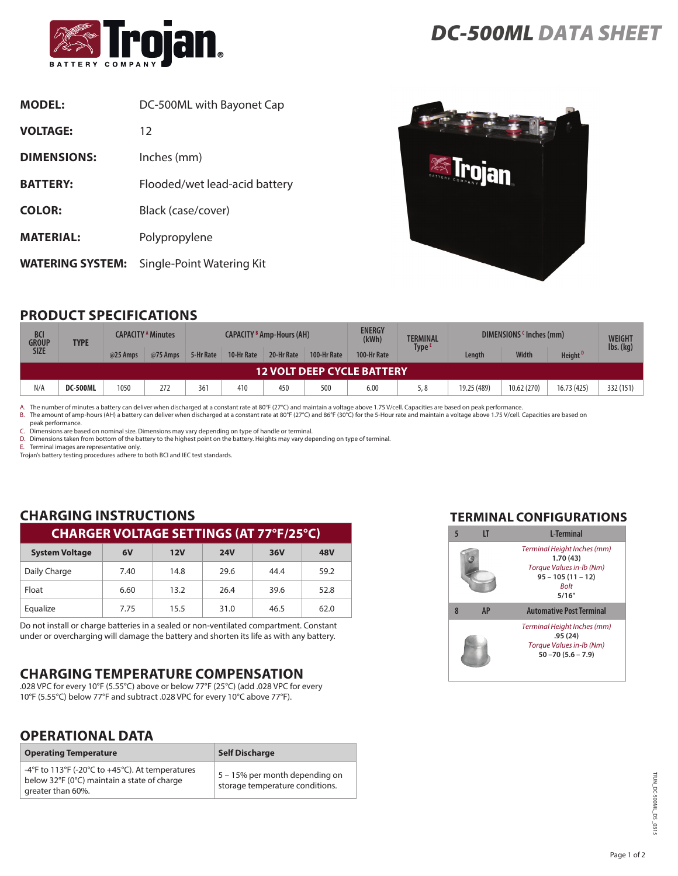

| <b>MODEL:</b>           | DC-500ML with Bayonet Cap     |
|-------------------------|-------------------------------|
| <b>VOLTAGE:</b>         | 12                            |
| <b>DIMENSIONS:</b>      | Inches (mm)                   |
| <b>BATTERY:</b>         | Flooded/wet lead-acid battery |
| <b>COLOR:</b>           | Black (case/cover)            |
| <b>MATERIAL:</b>        | Polypropylene                 |
| <b>WATERING SYSTEM:</b> | Single-Point Watering Kit     |



# **PRODUCT SPECIFICATIONS**

| <b>BCI</b><br><b>GROUP</b><br><b>TYPE</b> |          | <b>CAPACITY <sup>A</sup> Minutes</b> |          | <b>CAPACITY B Amp-Hours (AH)</b> |            |            | <b>ENERGY</b><br>(kWh) | <b>TERMINAL</b> | DIMENSIONS (Inches (mm) |             | <b>WEIGHT</b> |                     |           |
|-------------------------------------------|----------|--------------------------------------|----------|----------------------------------|------------|------------|------------------------|-----------------|-------------------------|-------------|---------------|---------------------|-----------|
| <b>SIZE</b>                               |          | @25 Amps                             | @75 Amps | 5-Hr Rate                        | 10-Hr Rate | 20-Hr Rate | 100-Hr Rate            | 100-Hr Rate     | Type <sup>1</sup>       | Lenath      | <b>Width</b>  | Height <sup>D</sup> | lbs. (kg) |
| 12 VOLT DEEP CYCLE BATTERY                |          |                                      |          |                                  |            |            |                        |                 |                         |             |               |                     |           |
| N/A                                       | DC-500ML | 1050                                 | 272      | 361                              | 410        | 450        | 500                    | 6.00            | 5,8                     | 19.25 (489) | 10.62 (270)   | 16.73 (425)         | 332 (151) |

A. The number of minutes a battery can deliver when discharged at a constant rate at 80°F (27°C) and maintain a voltage above 1.75 V/cell. Capacities are based on peak performance.<br>B. The amount of amp-hours (AH) a battery

peak performance. C. Dimensions are based on nominal size. Dimensions may vary depending on type of handle or terminal.

D. Dimensions taken from bottom of the battery to the highest point on the battery. Heights may vary depending on type of terminal.

E. Terminal images are representative only.

Trojan's battery testing procedures adhere to both BCI and IEC test standards.

### **CHARGING INSTRUCTIONS CHARGER VOLTAGE SETTINGS (AT 77°F/25°C)**

| <b>System Voltage</b> | 6V   | 12V  | <b>24V</b> | 36V  | 48V  |
|-----------------------|------|------|------------|------|------|
| Daily Charge          | 7.40 | 14.8 | 29.6       | 44.4 | 59.2 |
| Float                 | 6.60 | 13.2 | 26.4       | 39.6 | 52.8 |
| Equalize              | 7.75 | 15.5 | 31.0       | 46.5 | 62.0 |

Do not install or charge batteries in a sealed or non-ventilated compartment. Constant under or overcharging will damage the battery and shorten its life as with any battery.

# **CHARGING TEMPERATURE COMPENSATION**

.028 VPC for every 10°F (5.55°C) above or below 77°F (25°C) (add .028 VPC for every 10°F (5.55°C) below 77°F and subtract .028 VPC for every 10°C above 77°F).

## **OPERATIONAL DATA**

| <b>Operating Temperature</b>                                                                                        | <b>Self Discharge</b>                                             |
|---------------------------------------------------------------------------------------------------------------------|-------------------------------------------------------------------|
| -4°F to 113°F (-20°C to +45°C). At temperatures<br>below 32°F (0°C) maintain a state of charge<br>greater than 60%. | 5 – 15% per month depending on<br>storage temperature conditions. |

#### **TERMINAL CONFIGURATIONS**